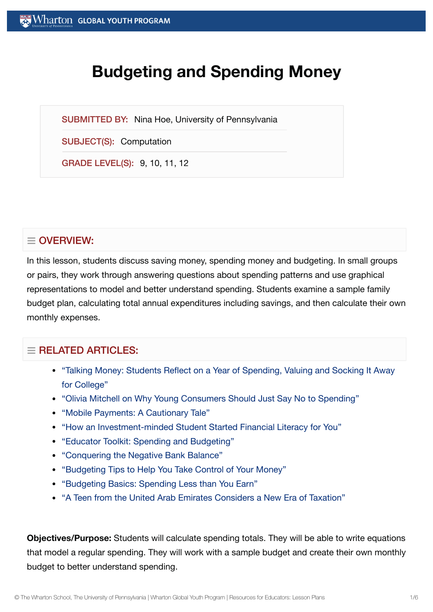# **Budgeting and Spending Money**

SUBMITTED BY: Nina Hoe, University of Pennsylvania

SUBJECT(S): Computation

GRADE LEVEL(S): 9, 10, 11, 12

# $\equiv$  OVERVIEW:

In this lesson, students discuss saving money, spending money and budgeting. In small groups or pairs, they work through answering questions about spending patterns and use graphical representations to model and better understand spending. Students examine a sample family budget plan, calculating total annual expenditures including savings, and then calculate their own monthly expenses.

# $=$  RELATED ARTICLES:

- "Talking Money: [Students Reflect](https://globalyouth.wharton.upenn.edu/articles/talking-money-students-reflect-year-spending-valuing-socking-away-college/) on a Year of Spending, Valuing and Socking It Away for College"
- "Olivia Mitchell on Why Young [Consumers Should](https://globalyouth.wharton.upenn.edu/articles/olivia-mitchell-on-why-young-consumers-should-just-say-no-to-spending/) Just Say No to Spending"
- "Mobile Payments: A [Cautionary Tale"](https://globalyouth.wharton.upenn.edu/articles/making-mobile-payments-cautionary-tale/)
- "How an [Investment-minded](https://globalyouth.wharton.upenn.edu/articles/financial-literacy-champion-sohil-varshney-taught-1000-youth/) Student Started Financial Literacy for You"
- "Educator Toolkit: Spending and [Budgeting"](https://globalyouth.wharton.upenn.edu/articles/january-2018-educator-toolkit-spending-and-budgeting/)
- ["Conquering](https://globalyouth.wharton.upenn.edu/articles/conquering-negative-bank-balance/) the Negative Bank Balance"
- ["Budgeting](https://globalyouth.wharton.upenn.edu/articles/zina-kumoks-top-5-budget-tips/) Tips to Help You Take Control of Your Money"
- ["Budgeting](https://globalyouth.wharton.upenn.edu/articles/budgeting-basics-spending-less-than-you-earn/) Basics: Spending Less than You Earn"
- "A Teen from the United Arab [Emirates Considers a](https://globalyouth.wharton.upenn.edu/articles/teen-united-arab-emirates-considers-new-era-taxation/) New Era of Taxation"

**Objectives/Purpose:** Students will calculate spending totals. They will be able to write equations that model a regular spending. They will work with a sample budget and create their own monthly budget to better understand spending.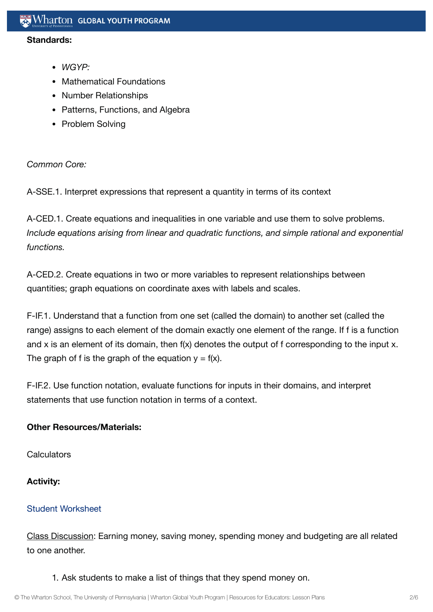#### **Standards:**

- *WGYP:*
- Mathematical Foundations
- Number Relationships
- Patterns, Functions, and Algebra
- Problem Solving

*Common Core:*

A-SSE.1. Interpret expressions that represent a quantity in terms of its context

A-CED.1. Create equations and inequalities in one variable and use them to solve problems. *Include equations arising from linear and quadratic functions, and simple rational and exponential functions.*

A-CED.2. Create equations in two or more variables to represent relationships between quantities; graph equations on coordinate axes with labels and scales.

F-IF.1. Understand that a function from one set (called the domain) to another set (called the range) assigns to each element of the domain exactly one element of the range. If f is a function and x is an element of its domain, then f(x) denotes the output of f corresponding to the input x. The graph of f is the graph of the equation  $y = f(x)$ .

F-IF.2. Use function notation, evaluate functions for inputs in their domains, and interpret statements that use function notation in terms of a context.

## **Other Resources/Materials:**

**Calculators** 

# **Activity:**

## Student [Worksheet](https://globalyouth.wharton.upenn.edu/wp-content/uploads/2011/10/Computation10_MathematicalF.wrksht.pdf)

Class Discussion: Earning money, saving money, spending money and budgeting are all related to one another.

1. Ask students to make a list of things that they spend money on.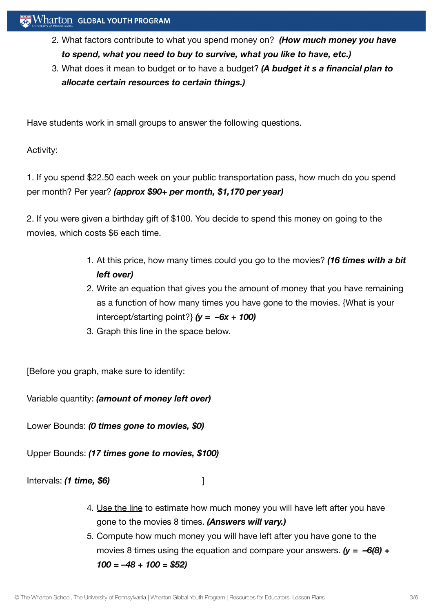- 2. What factors contribute to what you spend money on? *(How much money you have to spend, what you need to buy to survive, what you like to have, etc.)*
- 3. What does it mean to budget or to have a budget? *(A budget it s a financial plan to allocate certain resources to certain things.)*

Have students work in small groups to answer the following questions.

# Activity:

1. If you spend \$22.50 each week on your public transportation pass, how much do you spend per month? Per year? *(approx \$90+ per month, \$1,170 per year)*

2. If you were given a birthday gift of \$100. You decide to spend this money on going to the movies, which costs \$6 each time.

- 1. At this price, how many times could you go to the movies? *(16 times with a bit left over)*
- 2. Write an equation that gives you the amount of money that you have remaining as a function of how many times you have gone to the movies. {What is your intercept/starting point?} *(y = –6x + 100)*
- 3. Graph this line in the space below.

[Before you graph, make sure to identify:

Variable quantity: *(amount of money left over)*

Lower Bounds: *(0 times gone to movies, \$0)*

Upper Bounds: *(17 times gone to movies, \$100)*

Intervals: *(1 time, \$6)* ]

- 4. Use the line to estimate how much money you will have left after you have gone to the movies 8 times. *(Answers will vary.)*
- 5. Compute how much money you will have left after you have gone to the movies 8 times using the equation and compare your answers. *(y = –6(8) + 100 = –48 + 100 = \$52)*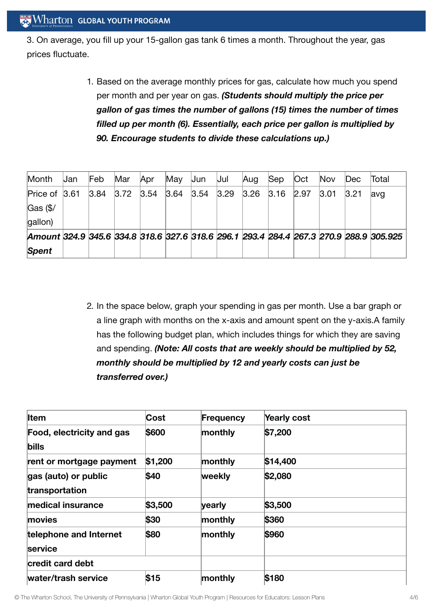3. On average, you fill up your 15-gallon gas tank 6 times a month. Throughout the year, gas prices fluctuate.

> 1. Based on the average monthly prices for gas, calculate how much you spend per month and per year on gas. *(Students should multiply the price per gallon of gas times the number of gallons (15) times the number of times filled up per month (6). Essentially, each price per gallon is multiplied by 90. Encourage students to divide these calculations up.)*

| Month                                                                                  | IJan | Feb  | Mar  | Apr  | May  | Jun  | Jul  | Aug  | $\mathsf{Sep}$ | Oct  | <b>Nov</b> | Dec  | Total |
|----------------------------------------------------------------------------------------|------|------|------|------|------|------|------|------|----------------|------|------------|------|-------|
| Price of $ 3.61 $                                                                      |      | 3.84 | 3.72 | 3.54 | 3.64 | 3.54 | 3.29 | 3.26 | 3.16           | 2.97 | 3.01       | 3.21 | avg   |
| $\textsf{Gas}$ (\$/                                                                    |      |      |      |      |      |      |      |      |                |      |            |      |       |
| gallon)                                                                                |      |      |      |      |      |      |      |      |                |      |            |      |       |
| Amount 324.9 345.6 334.8 318.6 327.6 318.6 296.1 293.4 284.4 267.3 270.9 288.9 305.925 |      |      |      |      |      |      |      |      |                |      |            |      |       |
| <b>Spent</b>                                                                           |      |      |      |      |      |      |      |      |                |      |            |      |       |

2. In the space below, graph your spending in gas per month. Use a bar graph or a line graph with months on the x-axis and amount spent on the y-axis.A family has the following budget plan, which includes things for which they are saving and spending. *(Note: All costs that are weekly should be multiplied by 52, monthly should be multiplied by 12 and yearly costs can just be transferred over.)*

| <b>I</b> tem                              | Cost    | Frequency | Yearly cost |
|-------------------------------------------|---------|-----------|-------------|
| <b>Food, electricity and gas</b><br>bills | \$600   | monthly   | \$7,200     |
| rent or mortgage payment                  | \$1,200 | monthly   | \$14,400    |
| gas (auto) or public<br>transportation    | \$40    | weekly    | \$2,080     |
| medical insurance                         | \$3,500 | yearly    | \$3,500     |
| <b>movies</b>                             | \$30    | monthly   | \$360       |
| telephone and Internet<br><b>service</b>  | \$80    | monthly   | \$960       |
| credit card debt                          |         |           |             |
| water/trash service                       | \$15    | monthly   | \$180       |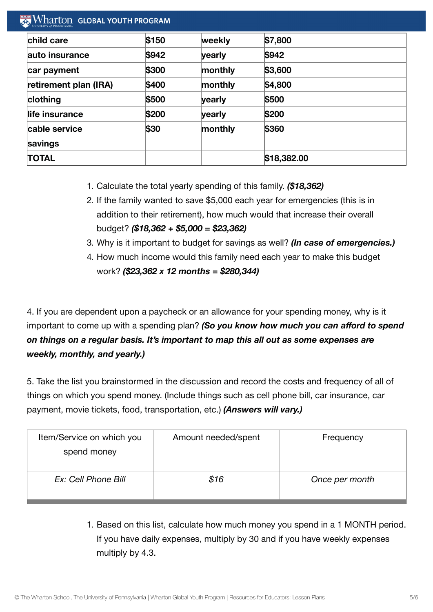| child care            | \$150 | weekly  | \$7,800     |  |
|-----------------------|-------|---------|-------------|--|
| lauto insurance       | \$942 | yearly  | \$942       |  |
| car payment           | \$300 | monthly | \$3,600     |  |
| retirement plan (IRA) | \$400 | monthly | \$4,800     |  |
| clothing              | \$500 | yearly  | \$500       |  |
| life insurance        | \$200 | yearly  | \$200       |  |
| cable service         | \$30  | monthly | \$360       |  |
| savings               |       |         |             |  |
| <b>TOTAL</b>          |       |         | \$18,382.00 |  |

- 1. Calculate the total yearly spending of this family. *(\$18,362)*
- 2. If the family wanted to save \$5,000 each year for emergencies (this is in addition to their retirement), how much would that increase their overall budget? *(\$18,362 + \$5,000 = \$23,362)*
- 3. Why is it important to budget for savings as well? *(In case of emergencies.)*
- 4. How much income would this family need each year to make this budget work? *(\$23,362 x 12 months = \$280,344)*

4. If you are dependent upon a paycheck or an allowance for your spending money, why is it important to come up with a spending plan? *(So you know how much you can afford to spend on things on a regular basis. It's important to map this all out as some expenses are weekly, monthly, and yearly.)*

5. Take the list you brainstormed in the discussion and record the costs and frequency of all of things on which you spend money. (Include things such as cell phone bill, car insurance, car payment, movie tickets, food, transportation, etc.) *(Answers will vary.)*

| Item/Service on which you<br>spend money | Amount needed/spent | Frequency      |
|------------------------------------------|---------------------|----------------|
| Ex: Cell Phone Bill                      | \$16                | Once per month |

1. Based on this list, calculate how much money you spend in a 1 MONTH period. If you have daily expenses, multiply by 30 and if you have weekly expenses multiply by 4.3.